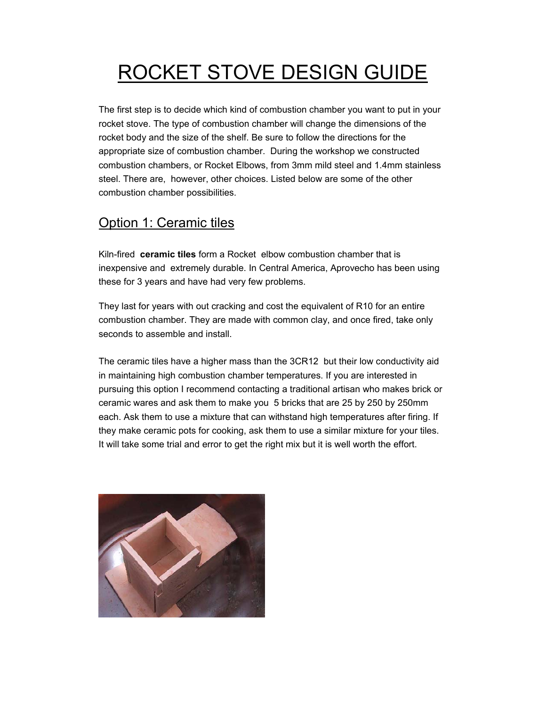# ROCKET STOVE DESIGN GUIDE

The first step is to decide which kind of combustion chamber you want to put in your rocket stove. The type of combustion chamber will change the dimensions of the rocket body and the size of the shelf. Be sure to follow the directions for the appropriate size of combustion chamber. During the workshop we constructed combustion chambers, or Rocket Elbows, from 3mm mild steel and 1.4mm stainless steel. There are, however, other choices. Listed below are some of the other combustion chamber possibilities.

# Option 1: Ceramic tiles

Kiln-fired **ceramic tiles** form a Rocket elbow combustion chamber that is inexpensive and extremely durable. In Central America, Aprovecho has been using these for 3 years and have had very few problems.

They last for years with out cracking and cost the equivalent of R10 for an entire combustion chamber. They are made with common clay, and once fired, take only seconds to assemble and install.

The ceramic tiles have a higher mass than the 3CR12 but their low conductivity aid in maintaining high combustion chamber temperatures. If you are interested in pursuing this option I recommend contacting a traditional artisan who makes brick or ceramic wares and ask them to make you 5 bricks that are 25 by 250 by 250mm each. Ask them to use a mixture that can withstand high temperatures after firing. If they make ceramic pots for cooking, ask them to use a similar mixture for your tiles. It will take some trial and error to get the right mix but it is well worth the effort.

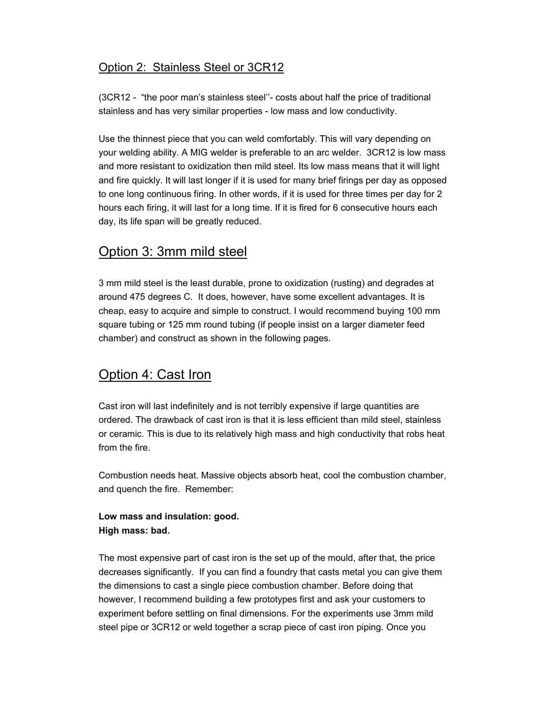### Option 2: Stainless Steel or 3CR12

(3CR12 - "the poor man's stainless steel''- costs about half the price of traditional stainless and has very similar properties - low mass and low conductivity.

Use the thinnest piece that you can weld comfortably. This will vary depending on your welding ability. A MIG welder is preferable to an arc welder. 3CR12 is low mass and more resistant to oxidization then mild steel. Its low mass means that it will light and fire quickly. It will last longer if it is used for many brief firings per day as opposed to one long continuous firing. In other words, if it is used for three times per day for 2 hours each firing, it will last for a long time. If it is fired for 6 consecutive hours each day, its life span will be greatly reduced.

# Option 3: 3mm mild steel

3 mm mild steel is the least durable, prone to oxidization (rusting) and degrades at around 475 degrees C. It does, however, have some excellent advantages. It is cheap, easy to acquire and simple to construct. I would recommend buying 100 mm square tubing or 125 mm round tubing (if people insist on a larger diameter feed chamber) and construct as shown in the following pages.

# Option 4: Cast Iron

Cast iron will last indefinitely and is not terribly expensive if large quantities are ordered. The drawback of cast iron is that it is less efficient than mild steel, stainless or ceramic. This is due to its relatively high mass and high conductivity that robs heat from the fire.

Combustion needs heat. Massive objects absorb heat, cool the combustion chamber, and quench the fire. Remember:

### **Low mass and insulation: good. High mass: bad.**

The most expensive part of cast iron is the set up of the mould, after that, the price decreases significantly. If you can find a foundry that casts metal you can give them the dimensions to cast a single piece combustion chamber. Before doing that however, I recommend building a few prototypes first and ask your customers to experiment before settling on final dimensions. For the experiments use 3mm mild steel pipe or 3CR12 or weld together a scrap piece of cast iron piping. Once you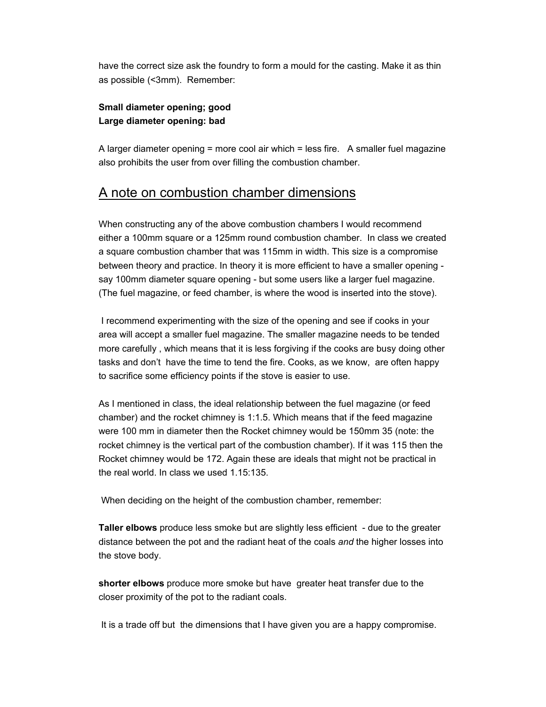have the correct size ask the foundry to form a mould for the casting. Make it as thin as possible (<3mm). Remember:

#### **Small diameter opening; good Large diameter opening: bad**

A larger diameter opening = more cool air which = less fire. A smaller fuel magazine also prohibits the user from over filling the combustion chamber.

# A note on combustion chamber dimensions

When constructing any of the above combustion chambers I would recommend either a 100mm square or a 125mm round combustion chamber. In class we created a square combustion chamber that was 115mm in width. This size is a compromise between theory and practice. In theory it is more efficient to have a smaller opening say 100mm diameter square opening - but some users like a larger fuel magazine. (The fuel magazine, or feed chamber, is where the wood is inserted into the stove).

 I recommend experimenting with the size of the opening and see if cooks in your area will accept a smaller fuel magazine. The smaller magazine needs to be tended more carefully , which means that it is less forgiving if the cooks are busy doing other tasks and don't have the time to tend the fire. Cooks, as we know, are often happy to sacrifice some efficiency points if the stove is easier to use.

As I mentioned in class, the ideal relationship between the fuel magazine (or feed chamber) and the rocket chimney is 1:1.5. Which means that if the feed magazine were 100 mm in diameter then the Rocket chimney would be 150mm 35 (note: the rocket chimney is the vertical part of the combustion chamber). If it was 115 then the Rocket chimney would be 172. Again these are ideals that might not be practical in the real world. In class we used 1.15:135.

When deciding on the height of the combustion chamber, remember:

**Taller elbows** produce less smoke but are slightly less efficient - due to the greater distance between the pot and the radiant heat of the coals *and* the higher losses into the stove body.

**shorter elbows** produce more smoke but have greater heat transfer due to the closer proximity of the pot to the radiant coals.

It is a trade off but the dimensions that I have given you are a happy compromise.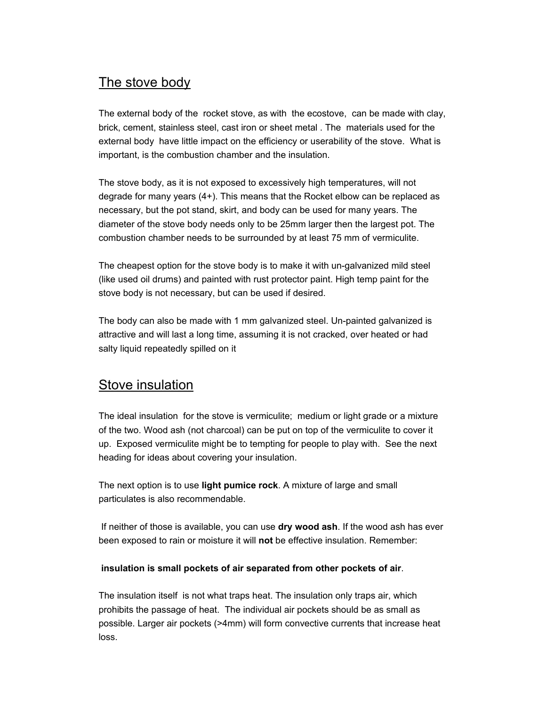# The stove body

The external body of the rocket stove, as with the ecostove, can be made with clay, brick, cement, stainless steel, cast iron or sheet metal . The materials used for the external body have little impact on the efficiency or userability of the stove. What is important, is the combustion chamber and the insulation.

The stove body, as it is not exposed to excessively high temperatures, will not degrade for many years (4+). This means that the Rocket elbow can be replaced as necessary, but the pot stand, skirt, and body can be used for many years. The diameter of the stove body needs only to be 25mm larger then the largest pot. The combustion chamber needs to be surrounded by at least 75 mm of vermiculite.

The cheapest option for the stove body is to make it with un-galvanized mild steel (like used oil drums) and painted with rust protector paint. High temp paint for the stove body is not necessary, but can be used if desired.

The body can also be made with 1 mm galvanized steel. Un-painted galvanized is attractive and will last a long time, assuming it is not cracked, over heated or had salty liquid repeatedly spilled on it

### Stove insulation

The ideal insulation for the stove is vermiculite; medium or light grade or a mixture of the two. Wood ash (not charcoal) can be put on top of the vermiculite to cover it up. Exposed vermiculite might be to tempting for people to play with. See the next heading for ideas about covering your insulation.

The next option is to use **light pumice rock**. A mixture of large and small particulates is also recommendable.

 If neither of those is available, you can use **dry wood ash**. If the wood ash has ever been exposed to rain or moisture it will **not** be effective insulation. Remember:

#### **insulation is small pockets of air separated from other pockets of air**.

The insulation itself is not what traps heat. The insulation only traps air, which prohibits the passage of heat. The individual air pockets should be as small as possible. Larger air pockets (>4mm) will form convective currents that increase heat loss.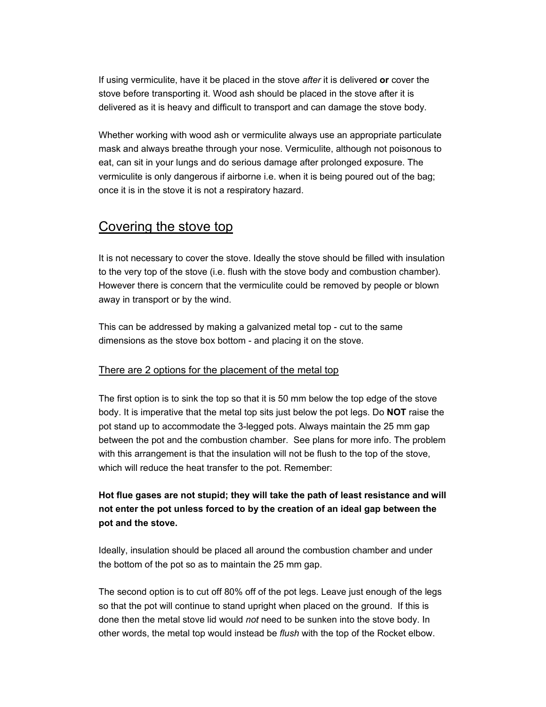If using vermiculite, have it be placed in the stove *after* it is delivered **or** cover the stove before transporting it. Wood ash should be placed in the stove after it is delivered as it is heavy and difficult to transport and can damage the stove body.

Whether working with wood ash or vermiculite always use an appropriate particulate mask and always breathe through your nose. Vermiculite, although not poisonous to eat, can sit in your lungs and do serious damage after prolonged exposure. The vermiculite is only dangerous if airborne i.e. when it is being poured out of the bag; once it is in the stove it is not a respiratory hazard.

### Covering the stove top

It is not necessary to cover the stove. Ideally the stove should be filled with insulation to the very top of the stove (i.e. flush with the stove body and combustion chamber). However there is concern that the vermiculite could be removed by people or blown away in transport or by the wind.

This can be addressed by making a galvanized metal top - cut to the same dimensions as the stove box bottom - and placing it on the stove.

#### There are 2 options for the placement of the metal top

The first option is to sink the top so that it is 50 mm below the top edge of the stove body. It is imperative that the metal top sits just below the pot legs. Do **NOT** raise the pot stand up to accommodate the 3-legged pots. Always maintain the 25 mm gap between the pot and the combustion chamber. See plans for more info. The problem with this arrangement is that the insulation will not be flush to the top of the stove, which will reduce the heat transfer to the pot. Remember:

### **Hot flue gases are not stupid; they will take the path of least resistance and will not enter the pot unless forced to by the creation of an ideal gap between the pot and the stove.**

Ideally, insulation should be placed all around the combustion chamber and under the bottom of the pot so as to maintain the 25 mm gap.

The second option is to cut off 80% off of the pot legs. Leave just enough of the legs so that the pot will continue to stand upright when placed on the ground. If this is done then the metal stove lid would *not* need to be sunken into the stove body. In other words, the metal top would instead be *flush* with the top of the Rocket elbow.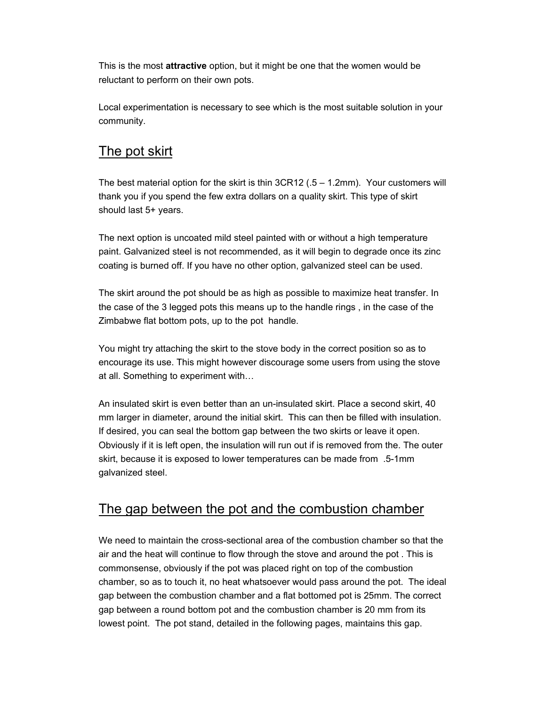This is the most **attractive** option, but it might be one that the women would be reluctant to perform on their own pots.

Local experimentation is necessary to see which is the most suitable solution in your community.

# The pot skirt

The best material option for the skirt is thin 3CR12 (.5 – 1.2mm). Your customers will thank you if you spend the few extra dollars on a quality skirt. This type of skirt should last 5+ years.

The next option is uncoated mild steel painted with or without a high temperature paint. Galvanized steel is not recommended, as it will begin to degrade once its zinc coating is burned off. If you have no other option, galvanized steel can be used.

The skirt around the pot should be as high as possible to maximize heat transfer. In the case of the 3 legged pots this means up to the handle rings , in the case of the Zimbabwe flat bottom pots, up to the pot handle.

You might try attaching the skirt to the stove body in the correct position so as to encourage its use. This might however discourage some users from using the stove at all. Something to experiment with…

An insulated skirt is even better than an un-insulated skirt. Place a second skirt, 40 mm larger in diameter, around the initial skirt. This can then be filled with insulation. If desired, you can seal the bottom gap between the two skirts or leave it open. Obviously if it is left open, the insulation will run out if is removed from the. The outer skirt, because it is exposed to lower temperatures can be made from .5-1mm galvanized steel.

# The gap between the pot and the combustion chamber

We need to maintain the cross-sectional area of the combustion chamber so that the air and the heat will continue to flow through the stove and around the pot . This is commonsense, obviously if the pot was placed right on top of the combustion chamber, so as to touch it, no heat whatsoever would pass around the pot. The ideal gap between the combustion chamber and a flat bottomed pot is 25mm. The correct gap between a round bottom pot and the combustion chamber is 20 mm from its lowest point. The pot stand, detailed in the following pages, maintains this gap.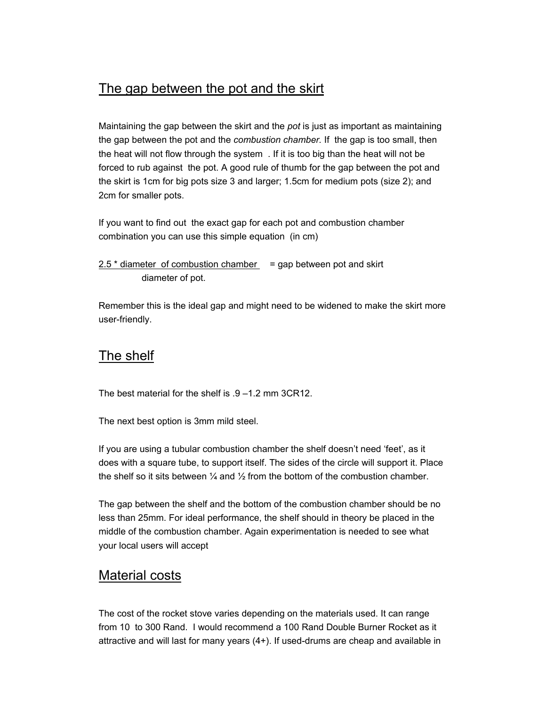# The gap between the pot and the skirt

Maintaining the gap between the skirt and the *pot* is just as important as maintaining the gap between the pot and the *combustion chamber.* If the gap is too small, then the heat will not flow through the system . If it is too big than the heat will not be forced to rub against the pot. A good rule of thumb for the gap between the pot and the skirt is 1cm for big pots size 3 and larger; 1.5cm for medium pots (size 2); and 2cm for smaller pots.

If you want to find out the exact gap for each pot and combustion chamber combination you can use this simple equation (in cm)

```
2.5 * diameter of combustion chamber = gap between pot and skirt
diameter of pot.
```
Remember this is the ideal gap and might need to be widened to make the skirt more user-friendly.

### The shelf

The best material for the shelf is .9 –1.2 mm 3CR12.

The next best option is 3mm mild steel.

If you are using a tubular combustion chamber the shelf doesn't need 'feet', as it does with a square tube, to support itself. The sides of the circle will support it. Place the shelf so it sits between  $\frac{1}{4}$  and  $\frac{1}{2}$  from the bottom of the combustion chamber.

The gap between the shelf and the bottom of the combustion chamber should be no less than 25mm. For ideal performance, the shelf should in theory be placed in the middle of the combustion chamber. Again experimentation is needed to see what your local users will accept

# Material costs

The cost of the rocket stove varies depending on the materials used. It can range from 10 to 300 Rand. I would recommend a 100 Rand Double Burner Rocket as it attractive and will last for many years (4+). If used-drums are cheap and available in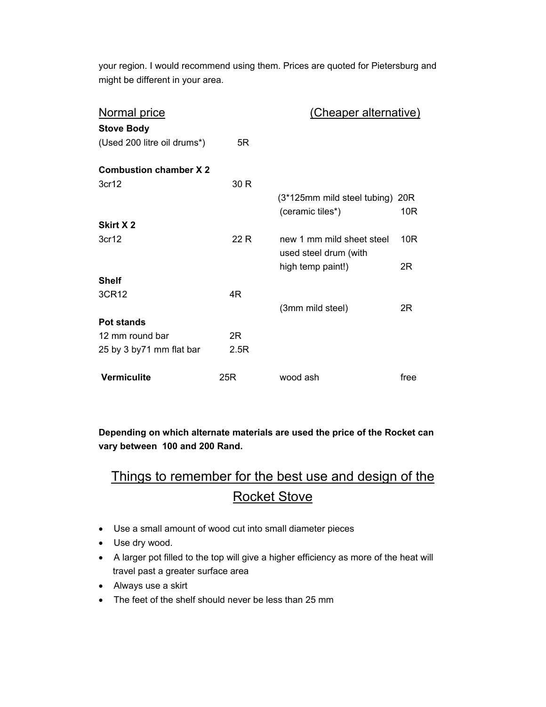your region. I would recommend using them. Prices are quoted for Pietersburg and might be different in your area.

| Normal price                 |      | (Cheaper alternative)                              |      |
|------------------------------|------|----------------------------------------------------|------|
| <b>Stove Body</b>            |      |                                                    |      |
| (Used 200 litre oil drums*)  | 5R   |                                                    |      |
| <b>Combustion chamber X2</b> |      |                                                    |      |
| 3cr12                        | 30 R |                                                    |      |
|                              |      | (3*125mm mild steel tubing) 20R                    |      |
|                              |      | (ceramic tiles*)                                   | 10R  |
| Skirt X 2                    |      |                                                    |      |
| 3cr12                        | 22 R | new 1 mm mild sheet steel<br>used steel drum (with | 10R  |
|                              |      | high temp paint!)                                  | 2R   |
| <b>Shelf</b>                 |      |                                                    |      |
| 3CR12                        | 4R   |                                                    |      |
|                              |      | (3mm mild steel)                                   | 2R   |
| Pot stands                   |      |                                                    |      |
| 12 mm round bar              | 2R   |                                                    |      |
| 25 by 3 by 71 mm flat bar    | 2.5R |                                                    |      |
| <b>Vermiculite</b>           | 25R  | wood ash                                           | free |

**Depending on which alternate materials are used the price of the Rocket can vary between 100 and 200 Rand.** 

# Things to remember for the best use and design of the Rocket Stove

- Use a small amount of wood cut into small diameter pieces
- Use dry wood.
- A larger pot filled to the top will give a higher efficiency as more of the heat will travel past a greater surface area
- Always use a skirt
- The feet of the shelf should never be less than 25 mm